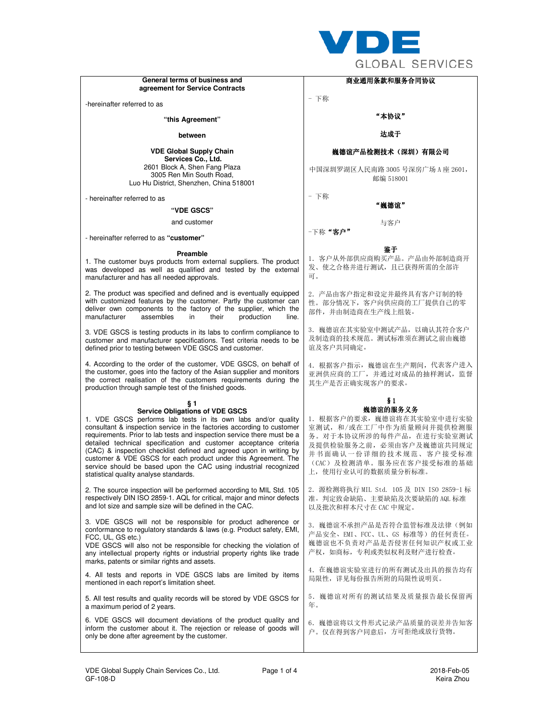

|                                                                                                                                                                                                                                                                                                                                                                                                                                                                                                                                                                                         | ULVDAL JLNVIVLJ                                                                                                                                                                                        |
|-----------------------------------------------------------------------------------------------------------------------------------------------------------------------------------------------------------------------------------------------------------------------------------------------------------------------------------------------------------------------------------------------------------------------------------------------------------------------------------------------------------------------------------------------------------------------------------------|--------------------------------------------------------------------------------------------------------------------------------------------------------------------------------------------------------|
| General terms of business and                                                                                                                                                                                                                                                                                                                                                                                                                                                                                                                                                           | 商业通用条款和服务合同协议                                                                                                                                                                                          |
| agreement for Service Contracts                                                                                                                                                                                                                                                                                                                                                                                                                                                                                                                                                         | - 下称                                                                                                                                                                                                   |
| -hereinafter referred to as                                                                                                                                                                                                                                                                                                                                                                                                                                                                                                                                                             |                                                                                                                                                                                                        |
| "this Agreement"                                                                                                                                                                                                                                                                                                                                                                                                                                                                                                                                                                        | "本协议"                                                                                                                                                                                                  |
| between                                                                                                                                                                                                                                                                                                                                                                                                                                                                                                                                                                                 | 达成于                                                                                                                                                                                                    |
| <b>VDE Global Supply Chain</b><br>Services Co., Ltd.                                                                                                                                                                                                                                                                                                                                                                                                                                                                                                                                    | 巍德谊产品检测技术(深圳)有限公司                                                                                                                                                                                      |
| 2601 Block A, Shen Fang Plaza<br>3005 Ren Min South Road,<br>Luo Hu District, Shenzhen, China 518001                                                                                                                                                                                                                                                                                                                                                                                                                                                                                    | 中国深圳罗湖区人民南路 3005 号深房广场 A 座 2601,<br>邮编 518001                                                                                                                                                          |
| - hereinafter referred to as                                                                                                                                                                                                                                                                                                                                                                                                                                                                                                                                                            | - 下称                                                                                                                                                                                                   |
| "VDE GSCS"                                                                                                                                                                                                                                                                                                                                                                                                                                                                                                                                                                              | "巍德谊"                                                                                                                                                                                                  |
| and customer                                                                                                                                                                                                                                                                                                                                                                                                                                                                                                                                                                            | 与客户                                                                                                                                                                                                    |
| - hereinafter referred to as "customer"                                                                                                                                                                                                                                                                                                                                                                                                                                                                                                                                                 | -下称"客户"                                                                                                                                                                                                |
| Preamble                                                                                                                                                                                                                                                                                                                                                                                                                                                                                                                                                                                | 鉴于                                                                                                                                                                                                     |
| 1. The customer buys products from external suppliers. The product<br>was developed as well as qualified and tested by the external<br>manufacturer and has all needed approvals.                                                                                                                                                                                                                                                                                                                                                                                                       | 1. 客户从外部供应商购买产品。产品由外部制造商开<br>发、使之合格并进行测试,且已获得所需的全部许<br>可。                                                                                                                                              |
| 2. The product was specified and defined and is eventually equipped<br>with customized features by the customer. Partly the customer can<br>deliver own components to the factory of the supplier, which the<br>manufacturer<br>assembles<br>their<br>production<br>in<br>line.                                                                                                                                                                                                                                                                                                         | 2. 产品由客户指定和设定并最终具有客户订制的特<br>性。部分情况下, 客户向供应商的工厂提供自己的零<br>部件,并由制造商在生产线上组装。                                                                                                                               |
| 3. VDE GSCS is testing products in its labs to confirm compliance to<br>customer and manufacturer specifications. Test criteria needs to be<br>defined prior to testing between VDE GSCS and customer.                                                                                                                                                                                                                                                                                                                                                                                  | 3. 巍德谊在其实验室中测试产品, 以确认其符合客户<br>及制造商的技术规范。测试标准须在测试之前由巍德<br>谊及客户共同确定。                                                                                                                                     |
| 4. According to the order of the customer, VDE GSCS, on behalf of<br>the customer, goes into the factory of the Asian supplier and monitors<br>the correct realisation of the customers requirements during the<br>production through sample test of the finished goods.                                                                                                                                                                                                                                                                                                                | 4. 根据客户指示, 巍德谊在生产期间, 代表客户进入<br>亚洲供应商的工厂,并通过对成品的抽样测试,监督<br>其生产是否正确实现客户的要求。                                                                                                                              |
| § 1                                                                                                                                                                                                                                                                                                                                                                                                                                                                                                                                                                                     | §1                                                                                                                                                                                                     |
| <b>Service Obligations of VDE GSCS</b><br>1. VDE GSCS performs lab tests in its own labs and/or quality<br>consultant & inspection service in the factories according to customer<br>requirements. Prior to lab tests and inspection service there must be a<br>detailed technical specification and customer acceptance criteria<br>(CAC) & inspection checklist defined and agreed upon in writing by<br>customer & VDE GSCS for each product under this Agreement. The<br>service should be based upon the CAC using industrial recognized<br>statistical quality analyse standards. | 巍德谊的服务义务<br>1. 根据客户的要求, 巍德谊将在其实验室中进行实验<br>室测试, 和/或在工厂中作为质量顾问并提供检测服<br>务。对于本协议所涉的每件产品, 在进行实验室测试<br>及提供检验服务之前, 必须由客户及巍德谊共同规定<br>并书面确认一份详细的技术规范、客户接受标准<br>(CAC) 及检测清单。服务应在客户接受标准的基础<br>上,使用行业认可的数据质量分析标准。 |
| 2. The source inspection will be performed according to MIL Std. 105<br>respectively DIN ISO 2859-1. AQL for critical, major and minor defects<br>and lot size and sample size will be defined in the CAC.                                                                                                                                                                                                                                                                                                                                                                              | 2. 源检测将执行 MIL Std. 105 及 DIN ISO 2859-1 标<br>准。判定致命缺陷、主要缺陷及次要缺陷的 AQL 标准<br>以及批次和样本尺寸在 CAC 中规定。                                                                                                         |
| 3. VDE GSCS will not be responsible for product adherence or<br>conformance to regulatory standards & laws (e.g. Product safety, EMI,<br>FCC, UL, GS etc.)<br>VDE GSCS will also not be responsible for checking the violation of<br>any intellectual property rights or industrial property rights like trade<br>marks, patents or similar rights and assets.                                                                                                                                                                                                                          | 3. 巍德谊不承担产品是否符合监管标准及法律(例如<br>产品安全、EMI、FCC、UL、GS 标准等)的任何责任。<br>巍德谊也不负责对产品是否侵害任何知识产权或工业<br>产权,如商标,专利或类似权利及财产进行检查。                                                                                        |
| 4. All tests and reports in VDE GSCS labs are limited by items<br>mentioned in each report's limitation sheet.                                                                                                                                                                                                                                                                                                                                                                                                                                                                          | 4. 在巍德谊实验室进行的所有测试及出具的报告均有<br>局限性, 详见每份报告所附的局限性说明页。                                                                                                                                                     |
| 5. All test results and quality records will be stored by VDE GSCS for<br>a maximum period of 2 years.                                                                                                                                                                                                                                                                                                                                                                                                                                                                                  | 5. 巍德谊对所有的测试结果及质量报告最长保留两<br>年。                                                                                                                                                                         |
| 6. VDE GSCS will document deviations of the product quality and<br>inform the customer about it. The rejection or release of goods will<br>only be done after agreement by the customer.                                                                                                                                                                                                                                                                                                                                                                                                | 6. 巍德谊将以文件形式记录产品质量的误差并告知客<br>户。仅在得到客户同意后,方可拒绝或放行货物。                                                                                                                                                    |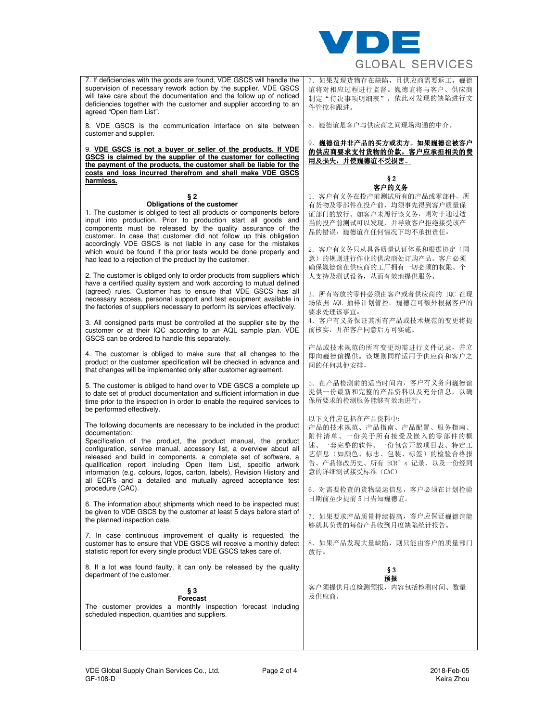

| 7. If deficiencies with the goods are found, VDE GSCS will handle the<br>supervision of necessary rework action by the supplier. VDE GSCS<br>will take care about the documentation and the follow up of noticed<br>deficiencies together with the customer and supplier according to an<br>agreed "Open Item List".                                                                                                                                                                                           | 7. 如果发现货物存在缺陷,且供应商需要返工,巍德<br>谊将对相应过程进行监督。巍德谊将与客户、供应商<br>制定"待决事项明细表", 依此对发现的缺陷进行文<br>件管控和跟讲。                                                                                  |
|----------------------------------------------------------------------------------------------------------------------------------------------------------------------------------------------------------------------------------------------------------------------------------------------------------------------------------------------------------------------------------------------------------------------------------------------------------------------------------------------------------------|------------------------------------------------------------------------------------------------------------------------------------------------------------------------------|
| 8. VDE GSCS is the communication interface on site between<br>customer and supplier.                                                                                                                                                                                                                                                                                                                                                                                                                           | 8. 巍德谊是客户与供应商之间现场沟通的中介。                                                                                                                                                      |
| 9. VDE GSCS is not a buyer or seller of the products. If VDE<br>GSCS is claimed by the supplier of the customer for collecting<br>the payment of the products, the customer shall be liable for the<br>costs and loss incurred therefrom and shall make VDE GSCS                                                                                                                                                                                                                                               | 9. 巍德谊并非产品的买方或卖方。如果巍德谊被客户<br>的供应商要求支付货物的价款, 客户应承担相关的费<br>用及损失,并使巍德谊不受损害。<br>§2                                                                                               |
| harmless.                                                                                                                                                                                                                                                                                                                                                                                                                                                                                                      | 客户的义务                                                                                                                                                                        |
| § 2<br>Obligations of the customer<br>1. The customer is obliged to test all products or components before<br>input into production. Prior to production start all goods and<br>components must be released by the quality assurance of the<br>customer. In case that customer did not follow up this obligation<br>accordingly VDE GSCS is not liable in any case for the mistakes                                                                                                                            | 1. 客户有义务在投产前测试所有的产品或零部件。所<br>有货物及零部件在投产前,均须事先得到客户质量保<br>证部门的放行。如客户未履行该义务, 则对于通过适<br>当的投产前测试可以发现, 并导致客户拒绝接受该产<br>品的错误, 巍德谊在任何情况下均不承担责任。                                       |
| which would be found if the prior tests would be done properly and<br>had lead to a rejection of the product by the customer.<br>2. The customer is obliged only to order products from suppliers which                                                                                                                                                                                                                                                                                                        | 2. 客户有义务只从具备质量认证体系和根据协定(同<br>意)的规则进行作业的供应商处订购产品。客户必须<br>确保巍德谊在供应商的工厂拥有一切必须的权限、个<br>人支持及测试设备, 从而有效地提供服务。                                                                      |
| have a certified quality system and work according to mutual defined<br>(agreed) rules. Customer has to ensure that VDE GSCS has all<br>necessary access, personal support and test equipment available in<br>the factories of suppliers necessary to perform its services effectively.                                                                                                                                                                                                                        | 3. 所有寄放的零件必须由客户或者供应商的 IQC 在现<br>场依据 AQL 抽样计划管控。巍德谊可额外根据客户的<br>要求处理该事宜。                                                                                                       |
| 3. All consigned parts must be controlled at the supplier site by the<br>customer or at their IQC according to an AQL sample plan. VDE<br>GSCS can be ordered to handle this separately.                                                                                                                                                                                                                                                                                                                       | 4. 客户有义务保证其所有产品或技术规范的变更将提<br>前核实,并在客户同意后方可实施。                                                                                                                                |
| 4. The customer is obliged to make sure that all changes to the<br>product or the customer specification will be checked in advance and<br>that changes will be implemented only after customer agreement.                                                                                                                                                                                                                                                                                                     | 产品或技术规范的所有变更均需进行文件记录, 并立<br>即向巍德谊提供。该规则同样适用于供应商和客户之<br>间的任何其他安排。                                                                                                             |
| 5. The customer is obliged to hand over to VDE GSCS a complete up<br>to date set of product documentation and sufficient information in due<br>time prior to the inspection in order to enable the required services to<br>be performed effectively.                                                                                                                                                                                                                                                           | 5. 在产品检测前的适当时间内, 客户有义务向巍德谊<br>提供一份最新和完整的产品资料以及充分信息,以确<br>保所要求的检测服务能够有效地进行。                                                                                                   |
| The following documents are necessary to be included in the product<br>documentation:<br>Specification of the product, the product manual, the product<br>configuration, service manual, accessory list, a overview about all<br>released and build in components, a complete set of software, a<br>qualification report including Open Item List, specific artwork<br>information (e.g. colours, logos, carton, labels), Revision History and<br>all ECR's and a detailed and mutually agreed acceptance test | 以下文件应包括在产品资料中:<br>产品的技术规范、产品指南、产品配置、服务指南、<br>附件清单、一份关于所有接受及嵌入的零部件的概<br>述、一套完整的软件、一份包含开放项目表、特定工<br>艺信息(如颜色、标志、包装、标签)的检验合格报<br>告、产品修改历史、所有 ECR's 记录、以及一份经同<br>意的详细测试接受标准 (CAC) |
| procedure (CAC).<br>6. The information about shipments which need to be inspected must                                                                                                                                                                                                                                                                                                                                                                                                                         | 6. 对需要检查的货物装运信息, 客户必须在计划检验<br>日期前至少提前 5 日告知巍德谊。                                                                                                                              |
| be given to VDE GSCS by the customer at least 5 days before start of<br>the planned inspection date.                                                                                                                                                                                                                                                                                                                                                                                                           | 7. 如果要求产品质量持续提高, 客户应保证巍德谊能<br>够就其负责的每份产品收到月度缺陷统计报告。                                                                                                                          |
| 7. In case continuous improvement of quality is requested, the<br>customer has to ensure that VDE GSCS will receive a monthly defect<br>statistic report for every single product VDE GSCS takes care of.                                                                                                                                                                                                                                                                                                      | 8. 如果产品发现大量缺陷,则只能由客户的质量部门<br>放行。                                                                                                                                             |
| 8. If a lot was found faulty, it can only be released by the quality<br>department of the customer.                                                                                                                                                                                                                                                                                                                                                                                                            | §З<br>预报                                                                                                                                                                     |
| § 3<br><b>Forecast</b><br>The customer provides a monthly inspection forecast including<br>scheduled inspection, quantities and suppliers.                                                                                                                                                                                                                                                                                                                                                                     | 客户须提供月度检测预报, 内容包括检测时间、数量<br>及供应商。                                                                                                                                            |
|                                                                                                                                                                                                                                                                                                                                                                                                                                                                                                                |                                                                                                                                                                              |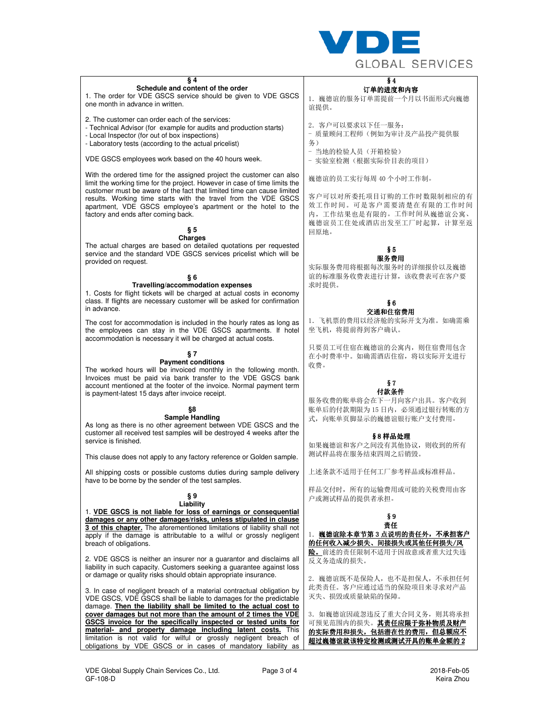

| § 4<br>Schedule and content of the order<br>1. The order for VDE GSCS service should be given to VDE GSCS<br>one month in advance in written.                                                                                                                                                                                                                                                         | § 4<br>订单的进度和内容<br>1. 巍德谊的服务订单需提前一个月以书面形式向巍德<br>谊提供。                                                                              |
|-------------------------------------------------------------------------------------------------------------------------------------------------------------------------------------------------------------------------------------------------------------------------------------------------------------------------------------------------------------------------------------------------------|-----------------------------------------------------------------------------------------------------------------------------------|
| 2. The customer can order each of the services:<br>- Technical Advisor (for example for audits and production starts)<br>- Local Inspector (for out of box inspections)<br>- Laboratory tests (according to the actual pricelist)                                                                                                                                                                     | 2. 客户可以要求以下任一服务:<br>- 质量顾问工程师(例如为审计及产品投产提供服<br>务)                                                                                 |
| VDE GSCS employees work based on the 40 hours week.                                                                                                                                                                                                                                                                                                                                                   | - 当地的检验人员(开箱检验)<br>- 实验室检测(根据实际价目表的项目)                                                                                            |
| With the ordered time for the assigned project the customer can also<br>limit the working time for the project. However in case of time limits the<br>customer must be aware of the fact that limited time can cause limited<br>results. Working time starts with the travel from the VDE GSCS<br>apartment, VDE GSCS employee's apartment or the hotel to the<br>factory and ends after coming back. | 巍德谊的员工实行每周 40 个小时工作制。<br>客户可以对所委托项目订购的工作时数限制相应的有<br>效工作时间。可是客户需要清楚在有限的工作时间<br>内,工作结果也是有限的。工作时间从巍德谊公寓、<br>巍德谊员工住处或酒店出发至工厂时起算, 计算至返 |
| § 5                                                                                                                                                                                                                                                                                                                                                                                                   | 回原地。                                                                                                                              |
| <b>Charges</b>                                                                                                                                                                                                                                                                                                                                                                                        |                                                                                                                                   |
| The actual charges are based on detailed quotations per requested<br>service and the standard VDE GSCS services pricelist which will be<br>provided on request.<br>§6                                                                                                                                                                                                                                 | §5<br>服务费用<br>实际服务费用将根据每次服务时的详细报价以及巍德<br>谊的标准服务收费表进行计算,该收费表可在客户要                                                                  |
| Travelling/accommodation expenses<br>1. Costs for flight tickets will be charged at actual costs in economy<br>class. If flights are necessary customer will be asked for confirmation<br>in advance.                                                                                                                                                                                                 | 求时提供。<br>§ 6<br>交通和住宿费用                                                                                                           |
| The cost for accommodation is included in the hourly rates as long as<br>the employees can stay in the VDE GSCS apartments. If hotel<br>accommodation is necessary it will be charged at actual costs.                                                                                                                                                                                                | 1. 飞机票的费用以经济舱的实际开支为准。如确需乘<br>坐飞机, 将提前得到客户确认。                                                                                      |
| §7<br><b>Payment conditions</b><br>The worked hours will be invoiced monthly in the following month.<br>Invoices must be paid via bank transfer to the VDE GSCS bank                                                                                                                                                                                                                                  | 只要员工可住宿在巍德谊的公寓内, 则住宿费用包含<br>在小时费率中。如确需酒店住宿, 将以实际开支进行<br>收费。                                                                       |
| account mentioned at the footer of the invoice. Normal payment term<br>is payment-latest 15 days after invoice receipt.                                                                                                                                                                                                                                                                               | §7<br>付款条件                                                                                                                        |
|                                                                                                                                                                                                                                                                                                                                                                                                       | 服务收费的账单将会在下一月向客户出具。客户收到                                                                                                           |
| §8<br><b>Sample Handling</b><br>As long as there is no other agreement between VDE GSCS and the<br>customer all received test samples will be destroyed 4 weeks after the<br>service is finished.                                                                                                                                                                                                     | 账单后的付款期限为15日内, 必须通过银行转账的方<br>式, 向账单页脚显示的巍德谊银行账户支付费用。<br>§8样品处理<br>如果巍德谊和客户之间没有其他协议, 则收到的所有                                        |
| This clause does not apply to any factory reference or Golden sample.                                                                                                                                                                                                                                                                                                                                 | 测试样品将在服务结束四周之后销毁。                                                                                                                 |
| All shipping costs or possible customs duties during sample delivery<br>have to be borne by the sender of the test samples.                                                                                                                                                                                                                                                                           | 上述条款不适用于任何工厂参考样品或标准样品。                                                                                                            |
| §9<br>Liability<br>1. VDE GSCS is not liable for loss of earnings or consequential                                                                                                                                                                                                                                                                                                                    | 样品交付时, 所有的运输费用或可能的关税费用由客<br>户或测试样品的提供者承担。                                                                                         |
| damages or any other damages/risks, unless stipulated in clause                                                                                                                                                                                                                                                                                                                                       | §9                                                                                                                                |
|                                                                                                                                                                                                                                                                                                                                                                                                       | 责任                                                                                                                                |
| 3 of this chapter. The aforementioned limitations of liability shall not<br>apply if the damage is attributable to a wilful or grossly negligent                                                                                                                                                                                                                                                      | 1. 巍德谊除本章节第3点说明的责任外,不承担客户                                                                                                         |
| breach of obligations.                                                                                                                                                                                                                                                                                                                                                                                | 的任何收入减少损失、间接损失或其他任何损失/风                                                                                                           |
|                                                                                                                                                                                                                                                                                                                                                                                                       | 险。前述的责任限制不适用于因故意或者重大过失违                                                                                                           |
| 2. VDE GSCS is neither an insurer nor a guarantor and disclaims all<br>liability in such capacity. Customers seeking a guarantee against loss<br>or damage or quality risks should obtain appropriate insurance.                                                                                                                                                                                      | 反义务造成的损失。<br>2. 巍德谊既不是保险人, 也不是担保人, 不承担任何                                                                                          |
|                                                                                                                                                                                                                                                                                                                                                                                                       | 此类责任。客户应通过适当的保险项目来寻求对产品                                                                                                           |
| 3. In case of negligent breach of a material contractual obligation by<br>VDE GSCS, VDE GSCS shall be liable to damages for the predictable<br>damage. Then the liability shall be limited to the actual cost to                                                                                                                                                                                      | 灭失、损毁或质量缺陷的保障。                                                                                                                    |
| cover damages but not more than the amount of 2 times the VDE                                                                                                                                                                                                                                                                                                                                         | 3. 如巍德谊因疏忽违反了重大合同义务,则其将承担                                                                                                         |
| GSCS invoice for the specifically inspected or tested units for                                                                                                                                                                                                                                                                                                                                       | 可预见范围内的损失。其责任应限于弥补物质及财产                                                                                                           |
| material- and property damage including latent costs. This<br>limitation is not valid for wilful or grossly negligent breach of<br>obligations by VDE GSCS or in cases of mandatory liability as                                                                                                                                                                                                      | 的实际费用和损失,包括潜在性的费用,但总额应不<br>超过巍德谊就该特定检测或测试开具的账单金额的2                                                                                |
|                                                                                                                                                                                                                                                                                                                                                                                                       |                                                                                                                                   |